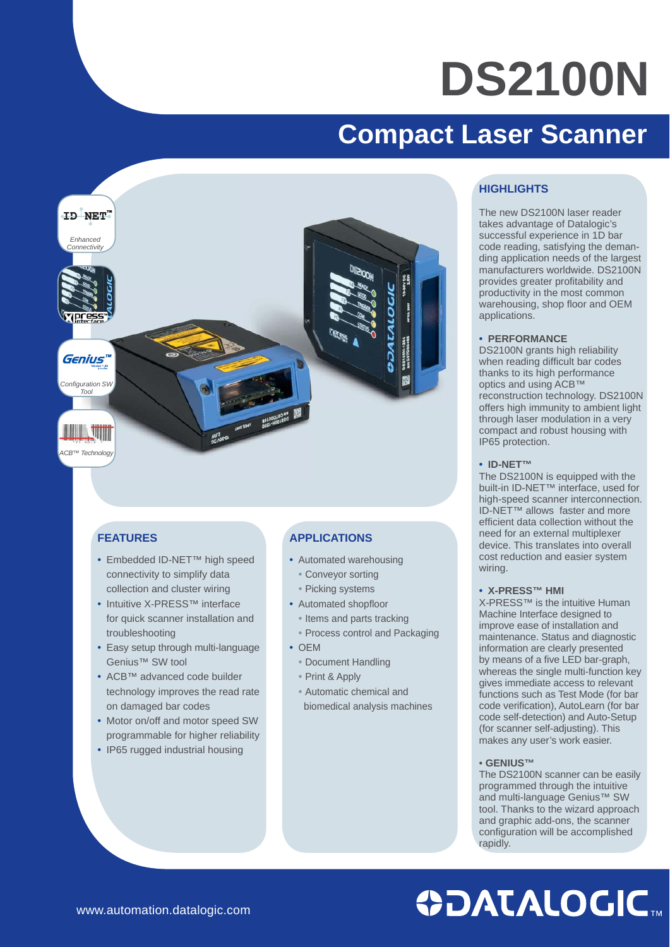# **DS2100N**

### **Compact Laser Scanner**



#### **FEATURES**

- Embedded ID-NET™ high speed connectivity to simplify data collection and cluster wiring
- Intuitive X-PRESS™ interface for quick scanner installation and troubleshooting
- Easy setup through multi-language Genius™ SW tool
- ACB™ advanced code builder technology improves the read rate on damaged bar codes
- Motor on/off and motor speed SW programmable for higher reliability
- IP65 rugged industrial housing

#### **APPLICATIONS**

- Automated warehousing
	- Conveyor sorting
	- Picking systems
- Automated shopfloor
- Items and parts tracking
- Process control and Packaging
- OEM
	- Document Handling
	- Print & Apply
- Automatic chemical and biomedical analysis machines

#### **HIGHLIGHTS**

The new DS2100N laser reader takes advantage of Datalogic's successful experience in 1D bar code reading, satisfying the demanding application needs of the largest manufacturers worldwide. DS2100N provides greater profitability and productivity in the most common warehousing, shop floor and OEM applications.

#### • **PERFORMANCE**

DS2100N grants high reliability when reading difficult bar codes thanks to its high performance optics and using ACB™ reconstruction technology. DS2100N offers high immunity to ambient light through laser modulation in a very compact and robust housing with IP65 protection.

#### • **ID-NET™**

The DS2100N is equipped with the built-in ID-NET™ interface, used for high-speed scanner interconnection. ID-NET™ allows faster and more efficient data collection without the need for an external multiplexer device. This translates into overall cost reduction and easier system wiring.

#### • **X-PRESS™ HMI**

X-PRESS™ is the intuitive Human Machine Interface designed to improve ease of installation and maintenance. Status and diagnostic information are clearly presented by means of a five LED bar-graph. whereas the single multi-function key gives immediate access to relevant functions such as Test Mode (for bar code verification), AutoLearn (for bar code self-detection) and Auto-Setup (for scanner self-adjusting). This makes any user's work easier.

#### • **GENIUS™**

The DS2100N scanner can be easily programmed through the intuitive and multi-language Genius™ SW tool. Thanks to the wizard approach and graphic add-ons, the scanner configuration will be accomplished rapidly.

## **ODATALOGIC.**